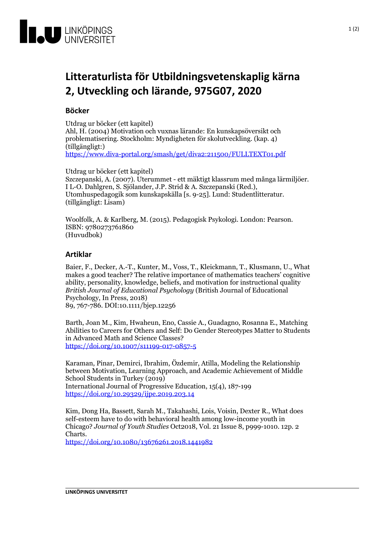

## **Litteraturlista för Utbildningsvetenskapligkärna 2, Utveckling och lärande, 975G07, 2020**

## **Böcker**

Utdrag ur böcker (ett kapitel) Ahl, H. (2004) Motivation och vuxnas lärande: En kunskapsöversikt och problematisering. Stockholm: Myndigheten för skolutveckling. (kap. 4) (tillgängligt:)

<https://www.diva-portal.org/smash/get/diva2:211500/FULLTEXT01.pdf>

Utdrag ur böcker (ett kapitel)

Szczepanski, A. (2007). Uterummet - ett mäktigt klassrum med många lärmiljöer.<br>I L-O. Dahlgren, S. Sjölander, J.P. Strid & A. Szczepanski (Red.),<br>Utomhuspedagogik som kunskapskälla [s. 9-25]. Lund: Studentlitteratur.<br>(till

Woolfolk, A. & Karlberg, M. (2015). Pedagogisk Psykologi. London: Pearson. ISBN: <sup>9780273761860</sup> (Huvudbok)

## **Artiklar**

Baier, F., Decker, A.-T., Kunter, M., Voss, T., Kleickmann, T., Klusmann, U., What makes a good teacher? The relative importance of mathematics teachers' cognitive ability, personality, knowledge, beliefs, and motivation for instructional quality *British Journal of Educational Psychology* (British Journal of Educational Psychology, In Press, 2018) 89, 767-786. DOI:10.1111/bjep.12256

Barth, Joan M., Kim, Hwaheun, Eno, Cassie A., Guadagno, Rosanna E., Matching Abilities to Careers for Others and Self: Do Gender Stereotypes Matter to Students in Advanced Math and Science Classes? <https://doi.org/10.1007/s11199-017-0857-5>

Karaman, Pinar, Demirci, Ibrahim, Özdemir, Atilla, Modeling the Relationship between Motivation, Learning Approach, and Academic Achievement of Middle School Students in Turkey (2019) International Journal of Progressive Education, 15(4), 187-199 <https://doi.org/10.29329/ijpe.2019.203.14>

Kim, Dong Ha, Bassett, Sarah M., Takahashi, Lois, Voisin, Dexter R., What does self-esteem have to do with behavioral health among low-income youth in Chicago? *Journal of Youth Studies* Oct2018, Vol. 21 Issue 8, p999-1010. 12p. 2 Charts. <https://doi.org/10.1080/13676261.2018.1441982>